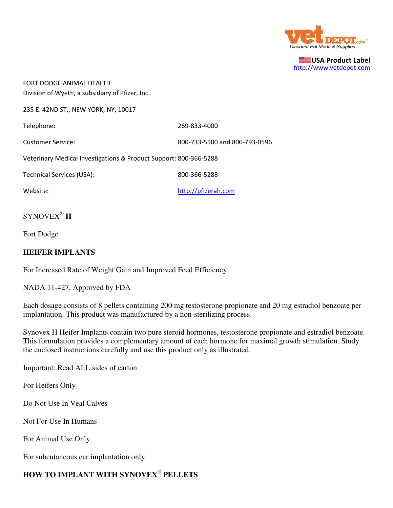

USA Product Label http://www.vetdepot.com

FORT DODGE ANIMAL HEALTH Division of Wyeth, a subsidiary of Pfizer, Inc.

235 E. 42ND ST., NEW YORK, NY, 10017

Telephone: 269-833-4000 Customer Service: 800-733-5500 and 800-793-0596 Veterinary Medical Investigations & Product Support: 800-366-5288 Technical Services (USA): 800-366-5288

Website: when the complete the complete the complete the complete the complete the complete the complete the complete the complete the complete the complete the complete the complete the complete the complete the complete

# SYNOVEX®  **H**

Fort Dodge

## **HEIFER IMPLANTS**

For Increased Rate of Weight Gain and Improved Feed Efficiency

NADA 11-427, Approved by FDA

Each dosage consists of 8 pellets containing 200 mg testosterone propionate and 20 mg estradiol benzoate per implantation. This product was manufactured by a non-sterilizing process.

Synovex H Heifer Implants contain two pure steroid hormones, testosterone propionate and estradiol benzoate. This formulation provides a complementary amount of each hormone for maximal growth stimulation. Study the enclosed instructions carefully and use this product only as illustrated.

Important: Read ALL sides of carton

For Heifers Only

Do Not Use In Veal Calves

Not For Use In Humans

For Animal Use Only

For subcutaneous ear implantation only.

# **HOW TO IMPLANT WITH SYNOVEX**®  **PELLETS**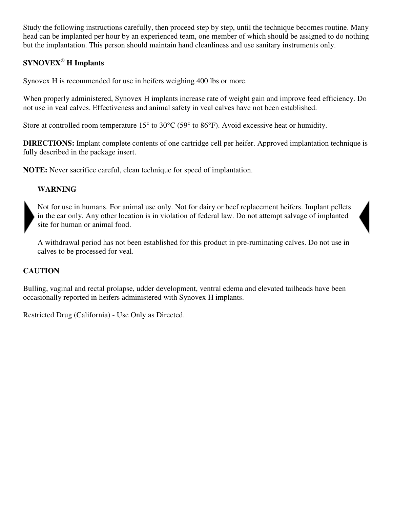Study the following instructions carefully, then proceed step by step, until the technique becomes routine. Many head can be implanted per hour by an experienced team, one member of which should be assigned to do nothing but the implantation. This person should maintain hand cleanliness and use sanitary instruments only.

# **SYNOVEX**®  **H Implants**

Synovex H is recommended for use in heifers weighing 400 lbs or more.

When properly administered, Synovex H implants increase rate of weight gain and improve feed efficiency. Do not use in veal calves. Effectiveness and animal safety in veal calves have not been established.

Store at controlled room temperature 15<sup>°</sup> to 30<sup>°</sup>C (59<sup>°</sup> to 86<sup>°</sup>F). Avoid excessive heat or humidity.

**DIRECTIONS:** Implant complete contents of one cartridge cell per heifer. Approved implantation technique is fully described in the package insert.

**NOTE:** Never sacrifice careful, clean technique for speed of implantation.

# **WARNING**

Not for use in humans. For animal use only. Not for dairy or beef replacement heifers. Implant pellets in the ear only. Any other location is in violation of federal law. Do not attempt salvage of implanted site for human or animal food.

A withdrawal period has not been established for this product in pre-ruminating calves. Do not use in calves to be processed for veal.

# **CAUTION**

Bulling, vaginal and rectal prolapse, udder development, ventral edema and elevated tailheads have been occasionally reported in heifers administered with Synovex H implants.

Restricted Drug (California) - Use Only as Directed.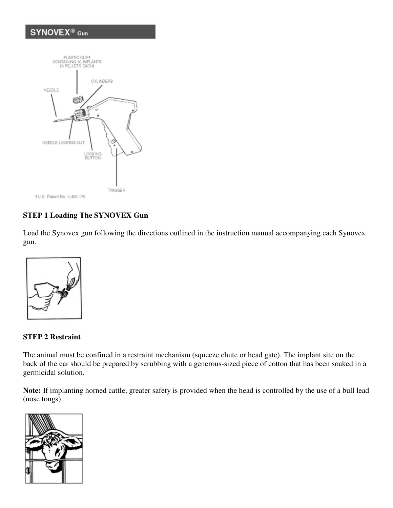# SYNOVEX<sup>®</sup> Gun



## **STEP 1 Loading The SYNOVEX Gun**

Load the Synovex gun following the directions outlined in the instruction manual accompanying each Synovex gun.



**STEP 2 Restraint**

The animal must be confined in a restraint mechanism (squeeze chute or head gate). The implant site on the back of the ear should be prepared by scrubbing with a generous-sized piece of cotton that has been soaked in a germicidal solution.

**Note:** If implanting horned cattle, greater safety is provided when the head is controlled by the use of a bull lead (nose tongs).

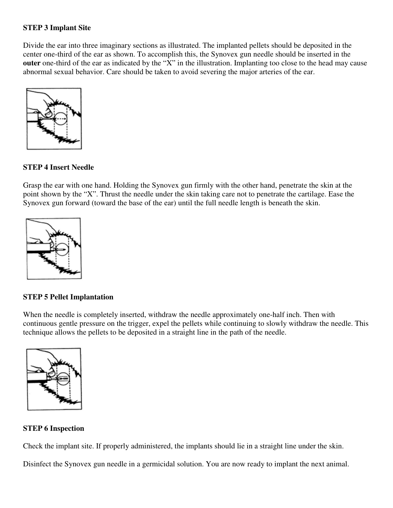## **STEP 3 Implant Site**

Divide the ear into three imaginary sections as illustrated. The implanted pellets should be deposited in the center one-third of the ear as shown. To accomplish this, the Synovex gun needle should be inserted in the **outer** one-third of the ear as indicated by the "X" in the illustration. Implanting too close to the head may cause abnormal sexual behavior. Care should be taken to avoid severing the major arteries of the ear.



#### **STEP 4 Insert Needle**

Grasp the ear with one hand. Holding the Synovex gun firmly with the other hand, penetrate the skin at the point shown by the "X". Thrust the needle under the skin taking care not to penetrate the cartilage. Ease the Synovex gun forward (toward the base of the ear) until the full needle length is beneath the skin.



## **STEP 5 Pellet Implantation**

When the needle is completely inserted, withdraw the needle approximately one-half inch. Then with continuous gentle pressure on the trigger, expel the pellets while continuing to slowly withdraw the needle. This technique allows the pellets to be deposited in a straight line in the path of the needle.



#### **STEP 6 Inspection**

Check the implant site. If properly administered, the implants should lie in a straight line under the skin.

Disinfect the Synovex gun needle in a germicidal solution. You are now ready to implant the next animal.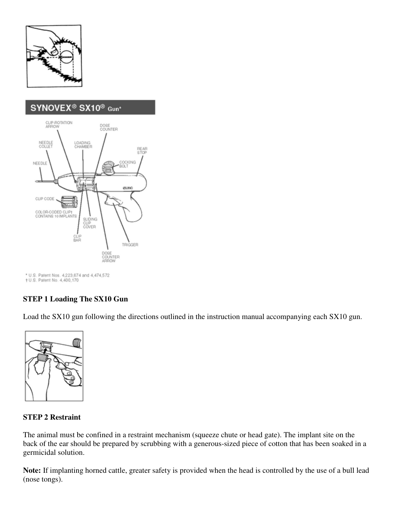



+ U.S. Patent No. 4,400,170

## **STEP 1 Loading The SX10 Gun**

Load the SX10 gun following the directions outlined in the instruction manual accompanying each SX10 gun.



#### **STEP 2 Restraint**

The animal must be confined in a restraint mechanism (squeeze chute or head gate). The implant site on the back of the ear should be prepared by scrubbing with a generous-sized piece of cotton that has been soaked in a germicidal solution.

**Note:** If implanting horned cattle, greater safety is provided when the head is controlled by the use of a bull lead (nose tongs).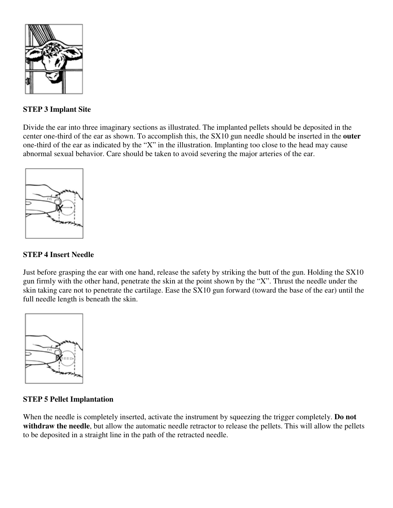

#### **STEP 3 Implant Site**

Divide the ear into three imaginary sections as illustrated. The implanted pellets should be deposited in the center one-third of the ear as shown. To accomplish this, the SX10 gun needle should be inserted in the **outer**  one-third of the ear as indicated by the "X" in the illustration. Implanting too close to the head may cause abnormal sexual behavior. Care should be taken to avoid severing the major arteries of the ear.



#### **STEP 4 Insert Needle**

Just before grasping the ear with one hand, release the safety by striking the butt of the gun. Holding the SX10 gun firmly with the other hand, penetrate the skin at the point shown by the "X". Thrust the needle under the skin taking care not to penetrate the cartilage. Ease the SX10 gun forward (toward the base of the ear) until the full needle length is beneath the skin.



#### **STEP 5 Pellet Implantation**

When the needle is completely inserted, activate the instrument by squeezing the trigger completely. **Do not withdraw the needle**, but allow the automatic needle retractor to release the pellets. This will allow the pellets to be deposited in a straight line in the path of the retracted needle.